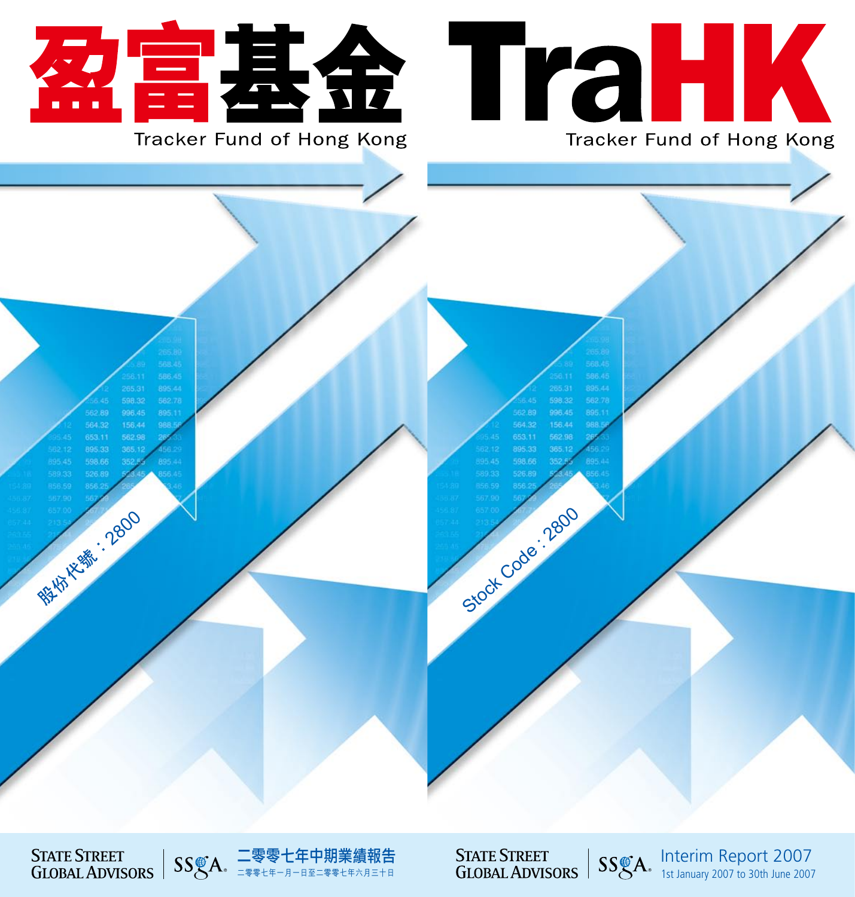

Stock Code : 2800



Interim Report 2007 1st January 2007 to 30th June 2007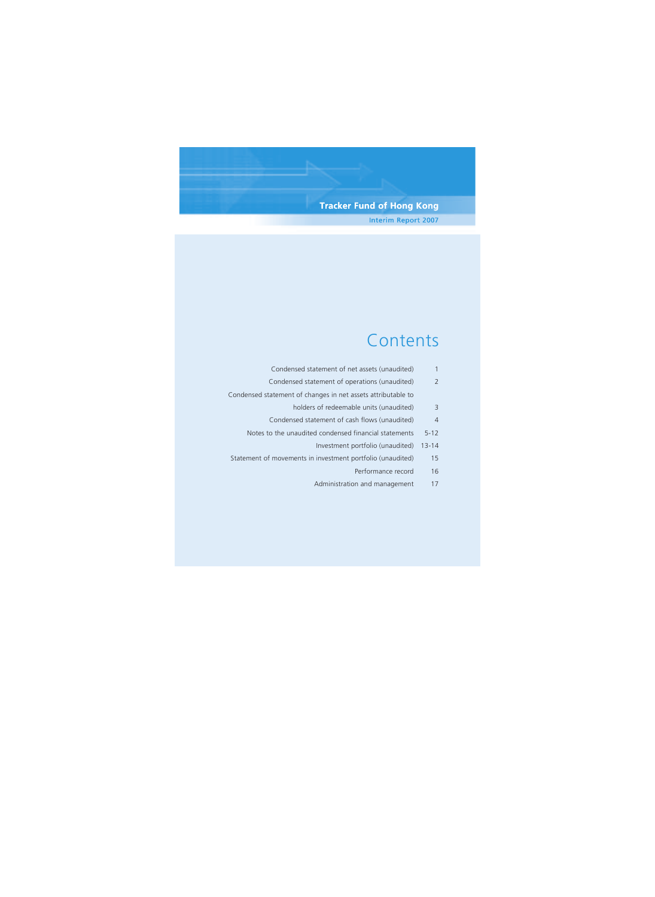## **Tracker Fund of Hong Kong** Interim Report 2007

# **Contents**

| 1         | Condensed statement of net assets (unaudited)                |
|-----------|--------------------------------------------------------------|
| 2         | Condensed statement of operations (unaudited)                |
|           | Condensed statement of changes in net assets attributable to |
| 3         | holders of redeemable units (unaudited)                      |
| 4         | Condensed statement of cash flows (unaudited)                |
| $5 - 12$  | Notes to the unaudited condensed financial statements        |
| $13 - 14$ | Investment portfolio (unaudited)                             |
| 15        | Statement of movements in investment portfolio (unaudited)   |
| 16        | Performance record                                           |
| 17        | Administration and management                                |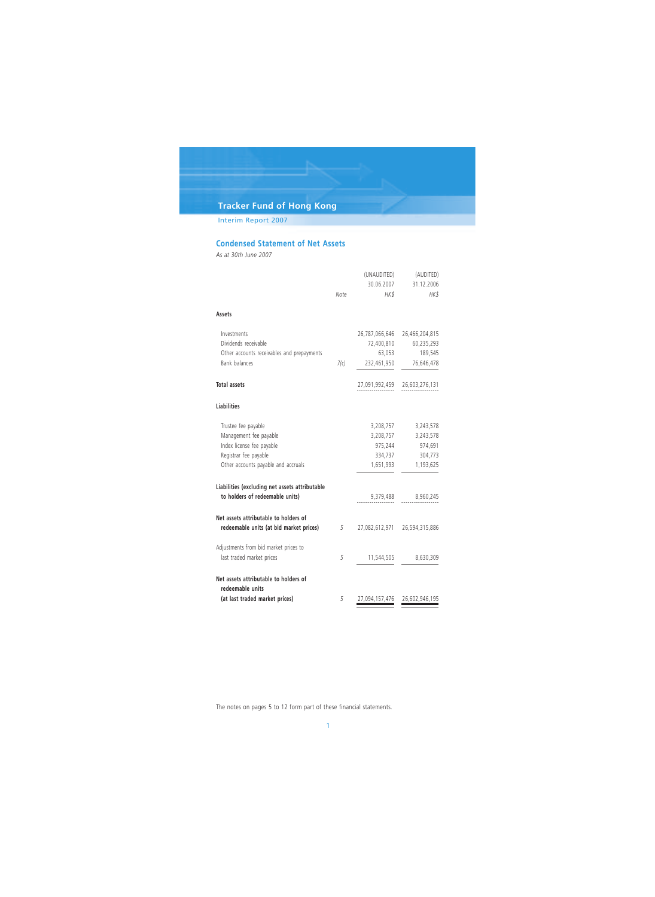Interim Report 2007

## **Condensed Statement of Net Assets**

*As at 30th June 2007*

|                                                           | Note | (UNAUDITED)<br>30.06.2007<br>HK\$ | (AUDITED)<br>31.12.2006<br>HK\$ |
|-----------------------------------------------------------|------|-----------------------------------|---------------------------------|
| Assets                                                    |      |                                   |                                 |
| Investments                                               |      | 26,787,066,646                    | 26,466,204,815                  |
| Dividends receivable                                      |      | 72,400,810                        | 60,235,293                      |
| Other accounts receivables and prepayments                |      | 63,053                            | 189,545                         |
| Bank balances                                             | 7(c) | 232,461,950                       | 76,646,478                      |
| <b>Total assets</b>                                       |      | 27,091,992,459                    | 26,603,276,131                  |
| <b>Liabilities</b>                                        |      |                                   |                                 |
| Trustee fee payable                                       |      | 3,208,757                         | 3,243,578                       |
| Management fee payable                                    |      | 3,208,757                         | 3,243,578                       |
| Index license fee payable                                 |      | 975,244                           | 974,691                         |
| Registrar fee payable                                     |      | 334,737                           | 304,773                         |
| Other accounts payable and accruals                       |      | 1,651,993                         | 1,193,625                       |
| Liabilities (excluding net assets attributable            |      |                                   |                                 |
| to holders of redeemable units)                           |      | 9,379,488                         | 8,960,245                       |
| Net assets attributable to holders of                     |      |                                   |                                 |
| redeemable units (at bid market prices)                   | 5    |                                   | 27,082,612,971 26,594,315,886   |
| Adjustments from bid market prices to                     |      |                                   |                                 |
| last traded market prices                                 | 5    | 11,544,505                        | 8,630,309                       |
| Net assets attributable to holders of<br>redeemable units |      |                                   |                                 |
| (at last traded market prices)                            | 5    | 27,094,157,476                    | 26,602,946,195                  |

The notes on pages 5 to 12 form part of these financial statements.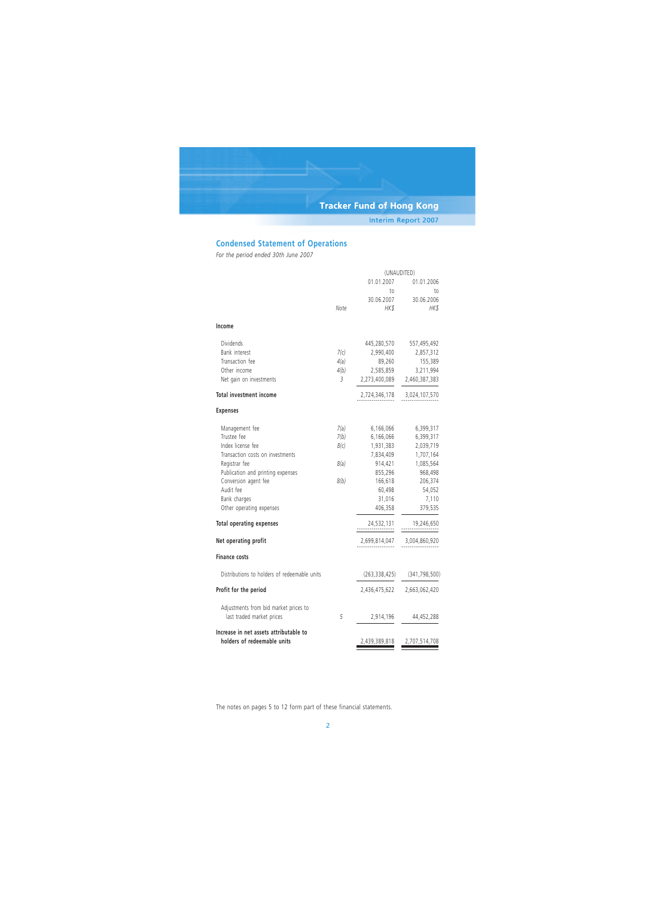## **Condensed Statement of Operations**

*For the period ended 30th June 2007*

|                                                                       | (UNAUDITED) |               |                             |
|-----------------------------------------------------------------------|-------------|---------------|-----------------------------|
|                                                                       |             | 01.01.2007    | 01.01.2006                  |
|                                                                       |             | to            | to                          |
|                                                                       |             | 30.06.2007    | 30.06.2006                  |
|                                                                       | Note        | HK\$          | HK\$                        |
| Income                                                                |             |               |                             |
| Dividends                                                             |             | 445,280,570   | 557,495,492                 |
| Bank interest                                                         | 7(c)        | 2,990,400     | 2,857,312                   |
| Transaction fee                                                       | 4(a)        | 89,260        | 155,389                     |
| Other income                                                          | 4(b)        | 2,585,859     | 3,211,994                   |
| Net gain on investments                                               | 3           |               | 2,273,400,089 2,460,387,383 |
| <b>Total investment income</b>                                        |             |               | 2,724,346,178 3,024,107,570 |
| <b>Expenses</b>                                                       |             |               |                             |
| Management fee                                                        | 7(a)        | 6,166,066     | 6,399,317                   |
| Trustee fee                                                           | 7(b)        | 6,166,066     | 6,399,317                   |
| Index license fee                                                     | 8(c)        | 1,931,383     | 2,039,719                   |
| Transaction costs on investments                                      |             | 7,834,409     | 1,707,164                   |
| Registrar fee                                                         | 8(a)        | 914,421       | 1,085,564                   |
| Publication and printing expenses                                     |             | 855,296       | 968,498                     |
| Conversion agent fee                                                  | 8(b)        | 166,618       | 206,374                     |
| Audit fee                                                             |             | 60,498        | 54,052                      |
| Bank charges                                                          |             | 31,016        | 7,110                       |
| Other operating expenses                                              |             | 406,358       | 379,535                     |
| <b>Total operating expenses</b>                                       |             | 24,532,131    | 19,246,650                  |
| Net operating profit                                                  |             | 2,699,814,047 | 3,004,860,920               |
| <b>Finance costs</b>                                                  |             |               |                             |
| Distributions to holders of redeemable units                          |             | (263,338,425) | (341, 798, 500)             |
| Profit for the period                                                 |             | 2,436,475,622 | 2,663,062,420               |
| Adjustments from bid market prices to<br>last traded market prices    | 5           | 2,914,196     | 44,452,288                  |
| Increase in net assets attributable to<br>holders of redeemable units |             | 2,439,389,818 | 2,707,514,708               |
|                                                                       |             |               |                             |

The notes on pages 5 to 12 form part of these financial statements.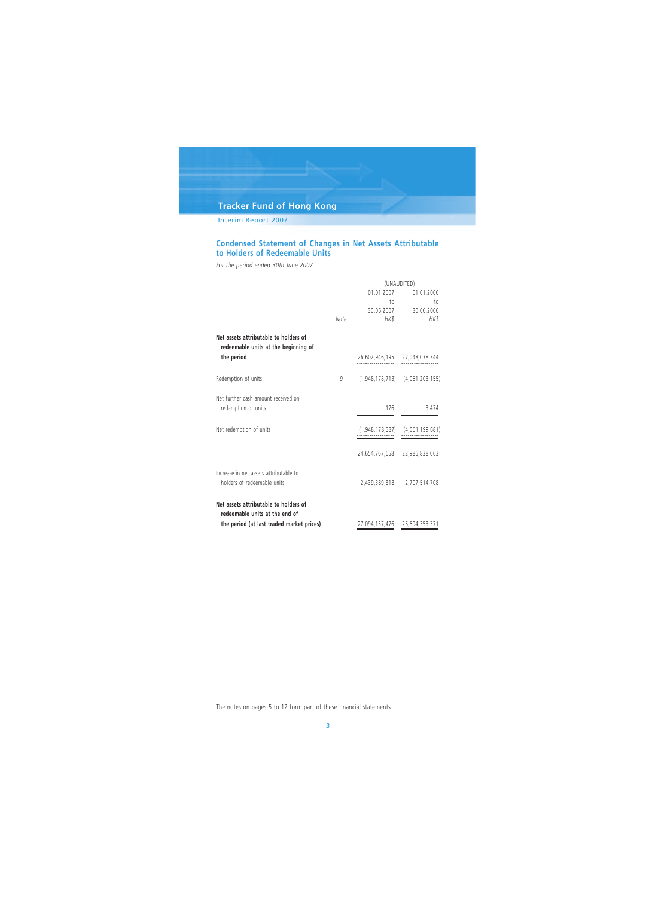Interim Report 2007

## **Condensed Statement of Changes in Net Assets Attributable to Holders of Redeemable Units**

*For the period ended 30th June 2007*

|                                                                               | (UNAUDITED) |                               |                                     |
|-------------------------------------------------------------------------------|-------------|-------------------------------|-------------------------------------|
|                                                                               |             | 01.01.2007                    | 01.01.2006                          |
|                                                                               |             | $\overline{10}$               | to                                  |
|                                                                               |             | 30.06.2007                    | 30.06.2006                          |
|                                                                               | Note        | HK\$                          | HK\$                                |
| Net assets attributable to holders of<br>redeemable units at the beginning of |             |                               |                                     |
| the period                                                                    |             |                               | 26,602,946,195 27,048,038,344       |
| Redemption of units                                                           | 9           |                               | $(1,948,178,713)$ $(4,061,203,155)$ |
| Net further cash amount received on<br>redemption of units                    |             | 176                           | 3,474                               |
| Net redemption of units                                                       |             | (1,948,178,537)               | (4,061,199,681)                     |
|                                                                               |             |                               | 24,654,767,658 22,986,838,663       |
| Increase in net assets attributable to                                        |             |                               |                                     |
| holders of redeemable units                                                   |             |                               | 2,439,389,818 2,707,514,708         |
| Net assets attributable to holders of<br>redeemable units at the end of       |             |                               |                                     |
| the period (at last traded market prices)                                     |             | 27,094,157,476 25,694,353,371 |                                     |

The notes on pages 5 to 12 form part of these financial statements.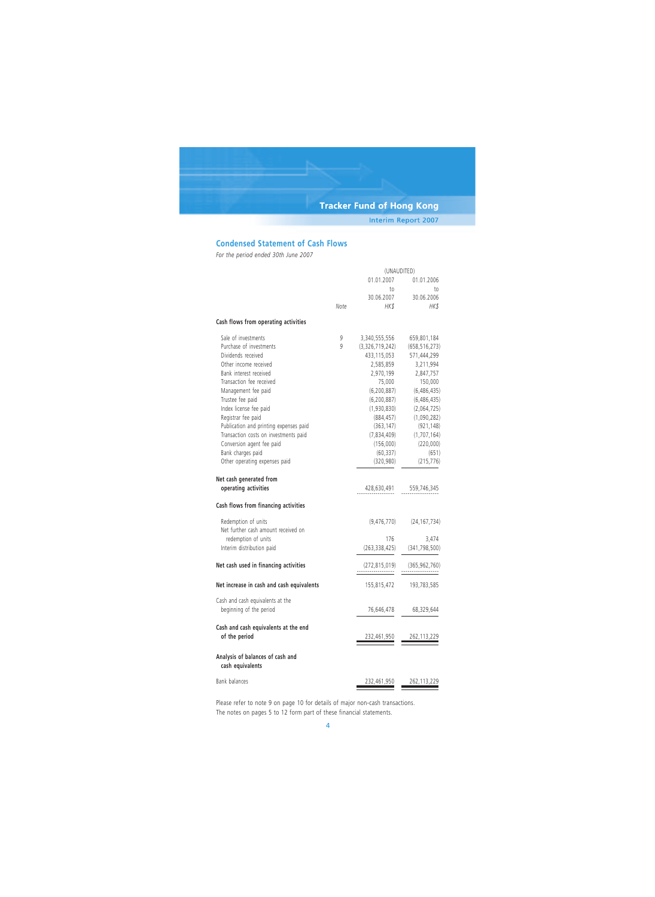Interim Report 2007

## **Condensed Statement of Cash Flows**

*For the period ended 30th June 2007*

|                                                      |      | 01.01.2007      | 01.01.2006      |
|------------------------------------------------------|------|-----------------|-----------------|
|                                                      |      | to              | to              |
|                                                      |      | 30.06.2007      | 30.06.2006      |
|                                                      | Note | HK\$            | HK\$            |
| Cash flows from operating activities                 |      |                 |                 |
| Sale of investments                                  | 9    | 3,340,555,556   | 659,801,184     |
| Purchase of investments                              | 9    | (3,326,719,242) | (658, 516, 273) |
| Dividends received                                   |      | 433,115,053     | 571,444,299     |
| Other income received                                |      | 2,585,859       | 3,211,994       |
| Bank interest received                               |      | 2,970,199       | 2,847,757       |
| Transaction fee received                             |      | 75,000          | 150,000         |
| Management fee paid                                  |      | (6, 200, 887)   | (6, 486, 435)   |
| Trustee fee paid                                     |      | (6, 200, 887)   | (6,486,435)     |
| Index license fee paid                               |      | (1,930,830)     | (2,064,725)     |
| Registrar fee paid                                   |      | (884, 457)      | (1,090,282)     |
| Publication and printing expenses paid               |      | (363, 147)      | (921, 148)      |
| Transaction costs on investments paid                |      | (7,834,409)     | (1, 707, 164)   |
| Conversion agent fee paid                            |      | (156,000)       | (220,000)       |
| Bank charges paid                                    |      | (60, 337)       | (651)           |
| Other operating expenses paid                        |      | (320, 980)      | (215, 776)      |
| Net cash generated from                              |      |                 |                 |
| operating activities                                 |      | 428,630,491     | 559,746,345     |
| Cash flows from financing activities                 |      |                 |                 |
| Redemption of units                                  |      | (9, 476, 770)   | (24, 167, 734)  |
| Net further cash amount received on                  |      |                 |                 |
| redemption of units                                  |      | 176             | 3,474           |
| Interim distribution paid                            |      | (263, 338, 425) | (341, 798, 500) |
| Net cash used in financing activities                |      | (272,815,019)   | (365, 962, 760) |
| Net increase in cash and cash equivalents            |      | 155,815,472     | 193,783,585     |
| Cash and cash equivalents at the                     |      |                 |                 |
| beginning of the period                              |      | 76,646,478      | 68,329,644      |
| Cash and cash equivalents at the end                 |      |                 |                 |
| of the period                                        |      | 232,461,950     | 262,113,229     |
| Analysis of balances of cash and<br>cash equivalents |      |                 |                 |
| Bank balances                                        |      | 232,461,950     | 262, 113, 229   |

Please refer to note 9 on page 10 for details of major non-cash transactions. The notes on pages 5 to 12 form part of these financial statements.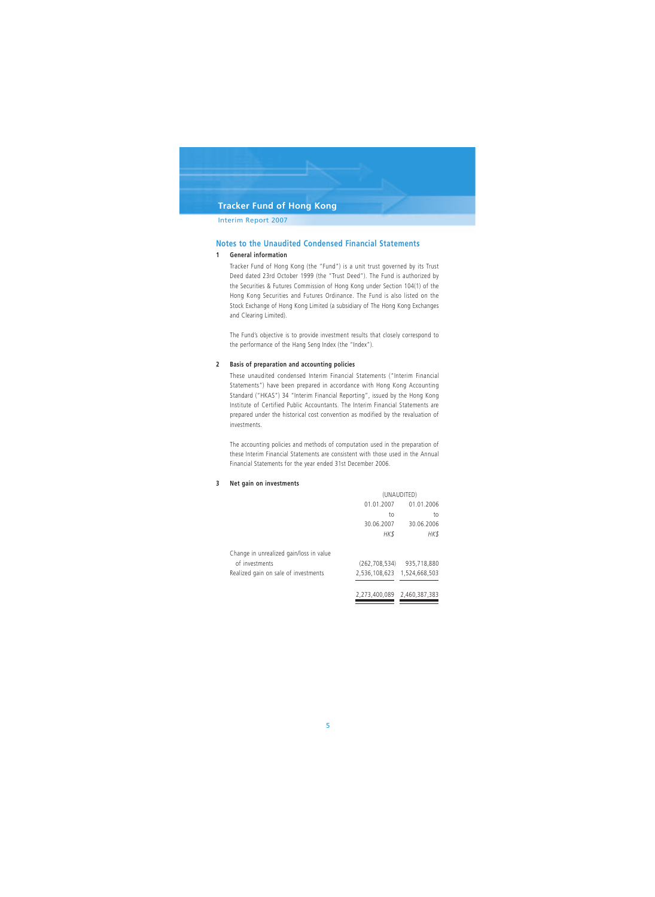### Interim Report 2007

### **Notes to the Unaudited Condensed Financial Statements**

#### **1 General information**

Tracker Fund of Hong Kong (the "Fund") is a unit trust governed by its Trust Deed dated 23rd October 1999 (the "Trust Deed"). The Fund is authorized by the Securities & Futures Commission of Hong Kong under Section 104(1) of the Hong Kong Securities and Futures Ordinance. The Fund is also listed on the Stock Exchange of Hong Kong Limited (a subsidiary of The Hong Kong Exchanges and Clearing Limited).

The Fund's objective is to provide investment results that closely correspond to the performance of the Hang Seng Index (the "Index").

#### **2 Basis of preparation and accounting policies**

These unaudited condensed Interim Financial Statements ("Interim Financial Statements") have been prepared in accordance with Hong Kong Accounting Standard ("HKAS") 34 "Interim Financial Reporting", issued by the Hong Kong Institute of Certified Public Accountants. The Interim Financial Statements are prepared under the historical cost convention as modified by the revaluation of investments.

The accounting policies and methods of computation used in the preparation of these Interim Financial Statements are consistent with those used in the Annual Financial Statements for the year ended 31st December 2006.

#### **3 Net gain on investments**

|                                         | (UNAUDITED)                 |             |  |
|-----------------------------------------|-----------------------------|-------------|--|
|                                         | 01.01.2007<br>01.01.2006    |             |  |
|                                         | to                          | to          |  |
|                                         | 30.06.2007                  | 30.06.2006  |  |
|                                         | HK\$                        | HK \$       |  |
| Change in unrealized gain/loss in value |                             |             |  |
| of investments                          | (262, 708, 534)             | 935,718,880 |  |
| Realized gain on sale of investments    | 2,536,108,623 1,524,668,503 |             |  |
|                                         | 2,273,400,089 2,460,387,383 |             |  |
|                                         |                             |             |  |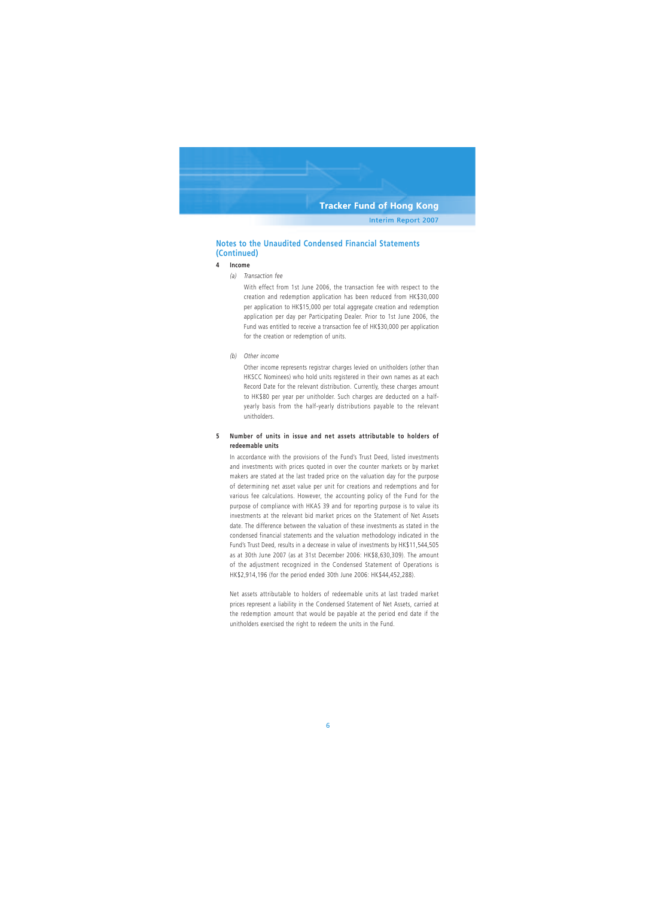## **Notes to the Unaudited Condensed Financial Statements (Continued)**

### **4 Income**

*(a) Transaction fee*

With effect from 1st June 2006, the transaction fee with respect to the creation and redemption application has been reduced from HK\$30,000 per application to HK\$15,000 per total aggregate creation and redemption application per day per Participating Dealer. Prior to 1st June 2006, the Fund was entitled to receive a transaction fee of HK\$30,000 per application for the creation or redemption of units.

*(b) Other income*

Other income represents registrar charges levied on unitholders (other than HKSCC Nominees) who hold units registered in their own names as at each Record Date for the relevant distribution. Currently, these charges amount to HK\$80 per year per unitholder. Such charges are deducted on a halfyearly basis from the half-yearly distributions payable to the relevant unitholders.

### **5 Number of units in issue and net assets attributable to holders of redeemable units**

In accordance with the provisions of the Fund's Trust Deed, listed investments and investments with prices quoted in over the counter markets or by market makers are stated at the last traded price on the valuation day for the purpose of determining net asset value per unit for creations and redemptions and for various fee calculations. However, the accounting policy of the Fund for the purpose of compliance with HKAS 39 and for reporting purpose is to value its investments at the relevant bid market prices on the Statement of Net Assets date. The difference between the valuation of these investments as stated in the condensed financial statements and the valuation methodology indicated in the Fund's Trust Deed, results in a decrease in value of investments by HK\$11,544,505 as at 30th June 2007 (as at 31st December 2006: HK\$8,630,309). The amount of the adjustment recognized in the Condensed Statement of Operations is HK\$2,914,196 (for the period ended 30th June 2006: HK\$44,452,288).

Net assets attributable to holders of redeemable units at last traded market prices represent a liability in the Condensed Statement of Net Assets, carried at the redemption amount that would be payable at the period end date if the unitholders exercised the right to redeem the units in the Fund.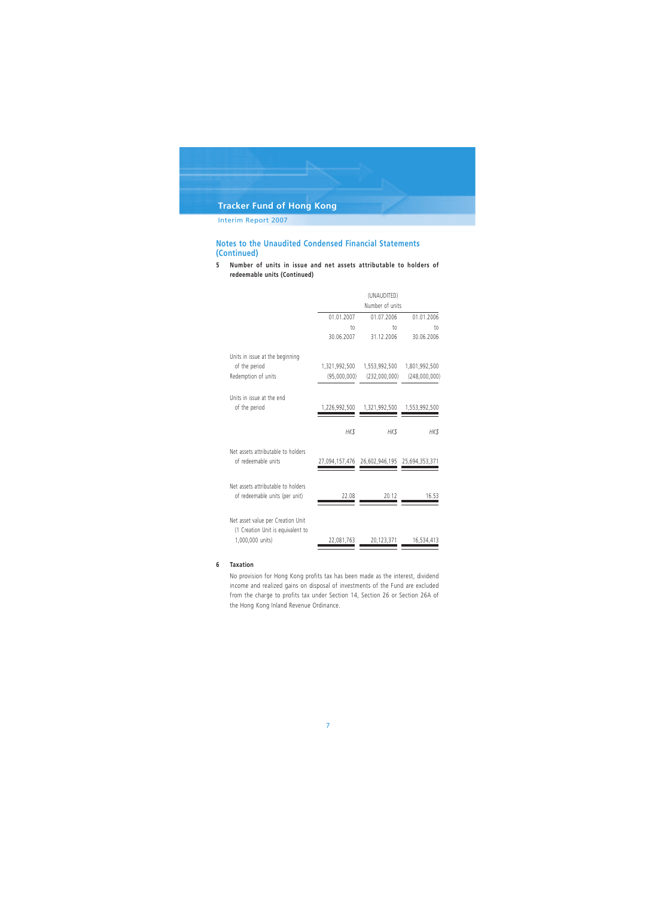Interim Report 2007

## **Notes to the Unaudited Condensed Financial Statements (Continued)**

**5 Number of units in issue and net assets attributable to holders of redeemable units (Continued)**

|                                                                                            |                               | (UNAUDITED)<br>Number of units               |                                |
|--------------------------------------------------------------------------------------------|-------------------------------|----------------------------------------------|--------------------------------|
|                                                                                            | 01.01.2007                    | 01.07.2006                                   | 01.01.2006                     |
|                                                                                            | to<br>30.06.2007              | 10 <sub>1</sub><br>31.12.2006                | to<br>30.06.2006               |
| Units in issue at the beginning<br>of the period<br>Redemption of units                    | 1,321,992,500<br>(95,000,000) | 1,553,992,500<br>(232,000,000)               | 1,801,992,500<br>(248,000,000) |
| Units in issue at the end<br>of the period                                                 | 1,226,992,500                 | 1,321,992,500                                | 1,553,992,500                  |
|                                                                                            | HK\$                          | HK\$                                         | HK\$                           |
| Net assets attributable to holders<br>of redeemable units                                  |                               | 27,094,157,476 26,602,946,195 25,694,353,371 |                                |
| Net assets attributable to holders<br>of redeemable units (per unit)                       | 22.08                         | 20.12                                        | 16.53                          |
| Net asset value per Creation Unit<br>(1 Creation Unit is equivalent to<br>1,000,000 units) | 22,081,763                    | 20,123,371                                   | 16,534,413                     |

#### **6 Taxation**

No provision for Hong Kong profits tax has been made as the interest, dividend income and realized gains on disposal of investments of the Fund are excluded from the charge to profits tax under Section 14, Section 26 or Section 26A of the Hong Kong Inland Revenue Ordinance.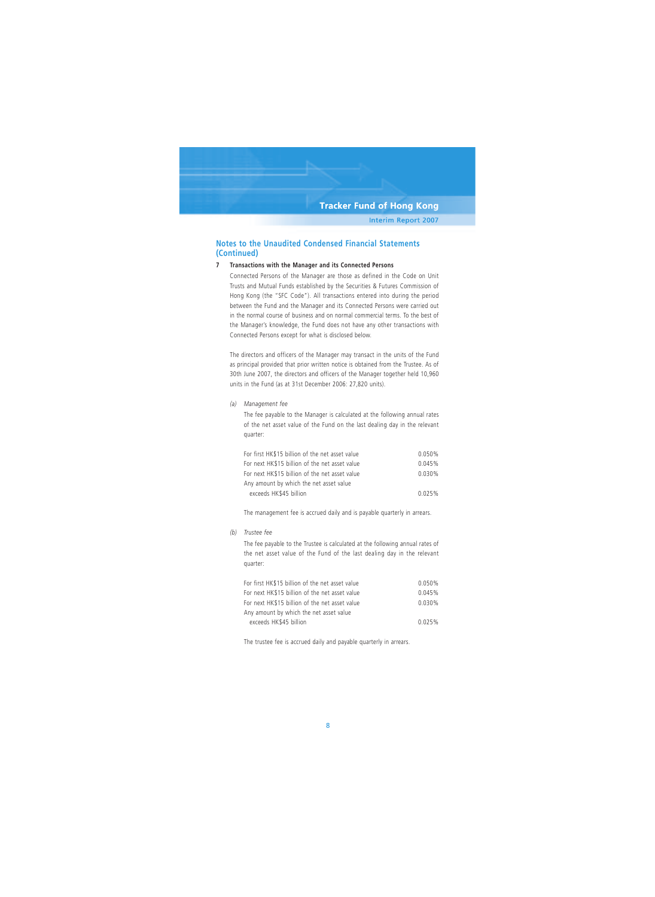## **Notes to the Unaudited Condensed Financial Statements (Continued)**

#### **7 Transactions with the Manager and its Connected Persons**

Connected Persons of the Manager are those as defined in the Code on Unit Trusts and Mutual Funds established by the Securities & Futures Commission of Hong Kong (the "SFC Code"). All transactions entered into during the period between the Fund and the Manager and its Connected Persons were carried out in the normal course of business and on normal commercial terms. To the best of the Manager's knowledge, the Fund does not have any other transactions with Connected Persons except for what is disclosed below.

The directors and officers of the Manager may transact in the units of the Fund as principal provided that prior written notice is obtained from the Trustee. As of 30th June 2007, the directors and officers of the Manager together held 10,960 units in the Fund (as at 31st December 2006: 27,820 units).

*(a) Management fee*

The fee payable to the Manager is calculated at the following annual rates of the net asset value of the Fund on the last dealing day in the relevant quarter:

| For first HK\$15 billion of the net asset value | 0.050%    |
|-------------------------------------------------|-----------|
| For next HK\$15 billion of the net asset value  | 0.045%    |
| For next HK\$15 billion of the net asset value  | $0.030\%$ |
| Any amount by which the net asset value         |           |
| exceeds HK\$45 billion                          | 0.025%    |

The management fee is accrued daily and is payable quarterly in arrears.

*(b) Trustee fee*

The fee payable to the Trustee is calculated at the following annual rates of the net asset value of the Fund of the last dealing day in the relevant quarter:

| For first HK\$15 billion of the net asset value | 0.050% |
|-------------------------------------------------|--------|
| For next HK\$15 billion of the net asset value  | 0.045% |
| For next HK\$15 billion of the net asset value  | 0.030% |
| Any amount by which the net asset value         |        |
| exceeds HK\$45 billion                          | 0.025% |

The trustee fee is accrued daily and payable quarterly in arrears.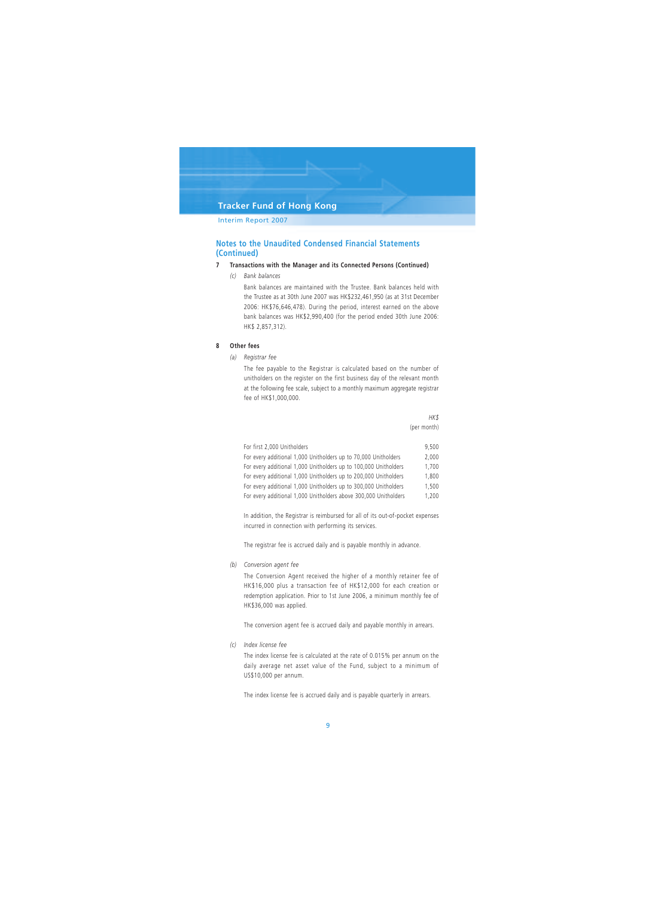Interim Report 2007

## **Notes to the Unaudited Condensed Financial Statements (Continued)**

#### **7 Transactions with the Manager and its Connected Persons (Continued)**

*(c) Bank balances*

Bank balances are maintained with the Trustee. Bank balances held with the Trustee as at 30th June 2007 was HK\$232,461,950 (as at 31st December 2006: HK\$76,646,478). During the period, interest earned on the above bank balances was HK\$2,990,400 (for the period ended 30th June 2006: HK\$ 2,857,312).

#### **8 Other fees**

*(a) Registrar fee*

The fee payable to the Registrar is calculated based on the number of unitholders on the register on the first business day of the relevant month at the following fee scale, subject to a monthly maximum aggregate registrar fee of HK\$1,000,000.

> *HK\$* (per month)

| For first 2,000 Unitholders                                      | 9.500 |
|------------------------------------------------------------------|-------|
| For every additional 1,000 Unitholders up to 70,000 Unitholders  | 2.000 |
| For every additional 1,000 Unitholders up to 100,000 Unitholders | 1.700 |
| For every additional 1,000 Unitholders up to 200,000 Unitholders | 1.800 |
| For every additional 1,000 Unitholders up to 300,000 Unitholders | 1.500 |
| For every additional 1,000 Unitholders above 300,000 Unitholders | 1.200 |
|                                                                  |       |

In addition, the Registrar is reimbursed for all of its out-of-pocket expenses incurred in connection with performing its services.

The registrar fee is accrued daily and is payable monthly in advance.

*(b) Conversion agent fee*

The Conversion Agent received the higher of a monthly retainer fee of HK\$16,000 plus a transaction fee of HK\$12,000 for each creation or redemption application. Prior to 1st June 2006, a minimum monthly fee of HK\$36,000 was applied.

The conversion agent fee is accrued daily and payable monthly in arrears.

*(c) Index license fee*

The index license fee is calculated at the rate of 0.015% per annum on the daily average net asset value of the Fund, subject to a minimum of US\$10,000 per annum.

The index license fee is accrued daily and is payable quarterly in arrears.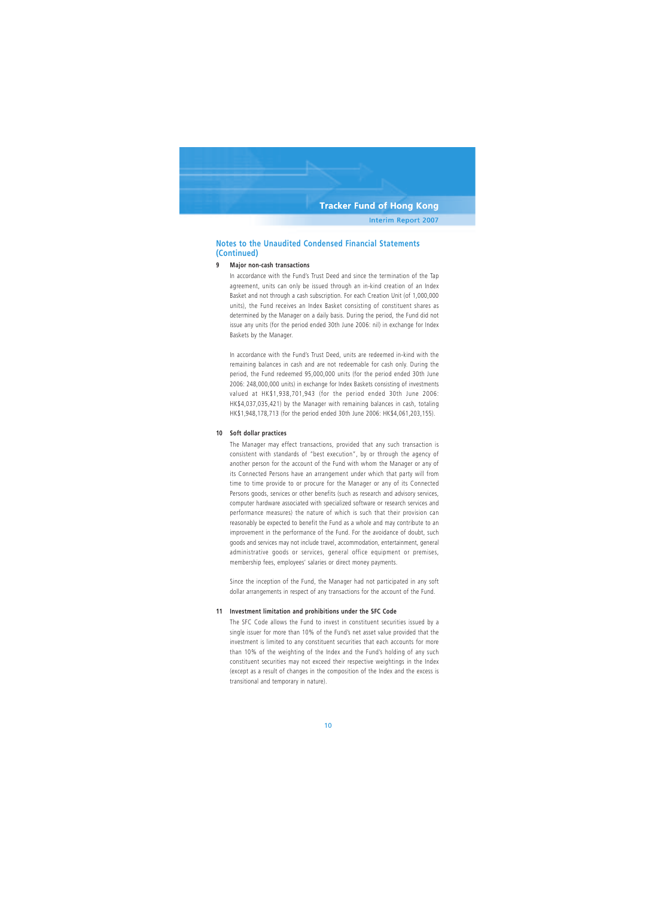## **Notes to the Unaudited Condensed Financial Statements (Continued)**

#### **9 Major non-cash transactions**

In accordance with the Fund's Trust Deed and since the termination of the Tap agreement, units can only be issued through an in-kind creation of an Index Basket and not through a cash subscription. For each Creation Unit (of 1,000,000 units), the Fund receives an Index Basket consisting of constituent shares as determined by the Manager on a daily basis. During the period, the Fund did not issue any units (for the period ended 30th June 2006: nil) in exchange for Index Baskets by the Manager.

In accordance with the Fund's Trust Deed, units are redeemed in-kind with the remaining balances in cash and are not redeemable for cash only. During the period, the Fund redeemed 95,000,000 units (for the period ended 30th June 2006: 248,000,000 units) in exchange for Index Baskets consisting of investments valued at HK\$1,938,701,943 (for the period ended 30th June 2006: HK\$4,037,035,421) by the Manager with remaining balances in cash, totaling HK\$1,948,178,713 (for the period ended 30th June 2006: HK\$4,061,203,155).

#### **10 Soft dollar practices**

The Manager may effect transactions, provided that any such transaction is consistent with standards of "best execution", by or through the agency of another person for the account of the Fund with whom the Manager or any of its Connected Persons have an arrangement under which that party will from time to time provide to or procure for the Manager or any of its Connected Persons goods, services or other benefits (such as research and advisory services, computer hardware associated with specialized software or research services and performance measures) the nature of which is such that their provision can reasonably be expected to benefit the Fund as a whole and may contribute to an improvement in the performance of the Fund. For the avoidance of doubt, such goods and services may not include travel, accommodation, entertainment, general administrative goods or services, general office equipment or premises, membership fees, employees' salaries or direct money payments.

Since the inception of the Fund, the Manager had not participated in any soft dollar arrangements in respect of any transactions for the account of the Fund.

#### **11 Investment limitation and prohibitions under the SFC Code**

The SFC Code allows the Fund to invest in constituent securities issued by a single issuer for more than 10% of the Fund's net asset value provided that the investment is limited to any constituent securities that each accounts for more than 10% of the weighting of the Index and the Fund's holding of any such constituent securities may not exceed their respective weightings in the Index (except as a result of changes in the composition of the Index and the excess is transitional and temporary in nature).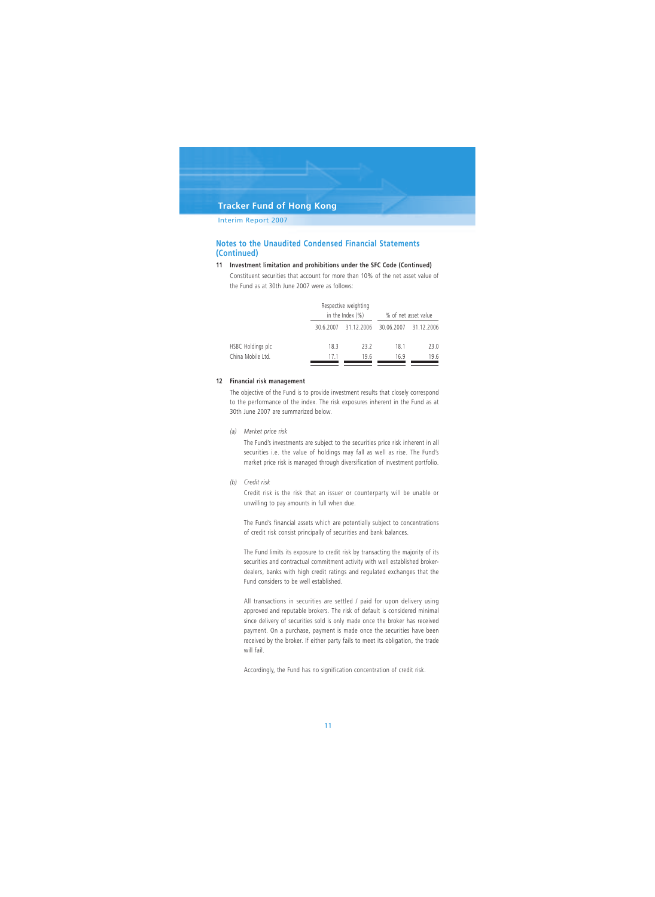Interim Report 2007

## **Notes to the Unaudited Condensed Financial Statements (Continued)**

#### **11 Investment limitation and prohibitions under the SFC Code (Continued)**

Constituent securities that account for more than 10% of the net asset value of the Fund as at 30th June 2007 were as follows:

|                   |         | Respective weighting<br>in the Index $(\%)$ |                       | % of net asset value |
|-------------------|---------|---------------------------------------------|-----------------------|----------------------|
|                   | 3062007 |                                             | 31.12.2006 30.06.2007 | 31.12.2006           |
| HSBC Holdings plc | 18.3    | 23.2                                        | 18.1                  | 23.0                 |
| China Mobile Ltd. | 171     | 196                                         | 169                   | 19.6                 |

#### **12 Financial risk management**

The objective of the Fund is to provide investment results that closely correspond to the performance of the index. The risk exposures inherent in the Fund as at 30th June 2007 are summarized below.

*(a) Market price risk*

The Fund's investments are subject to the securities price risk inherent in all securities i.e. the value of holdings may fall as well as rise. The Fund's market price risk is managed through diversification of investment portfolio.

*(b) Credit risk*

Credit risk is the risk that an issuer or counterparty will be unable or unwilling to pay amounts in full when due.

The Fund's financial assets which are potentially subject to concentrations of credit risk consist principally of securities and bank balances.

The Fund limits its exposure to credit risk by transacting the majority of its securities and contractual commitment activity with well established brokerdealers, banks with high credit ratings and regulated exchanges that the Fund considers to be well established.

All transactions in securities are settled / paid for upon delivery using approved and reputable brokers. The risk of default is considered minimal since delivery of securities sold is only made once the broker has received payment. On a purchase, payment is made once the securities have been received by the broker. If either party fails to meet its obligation, the trade will fail.

Accordingly, the Fund has no signification concentration of credit risk.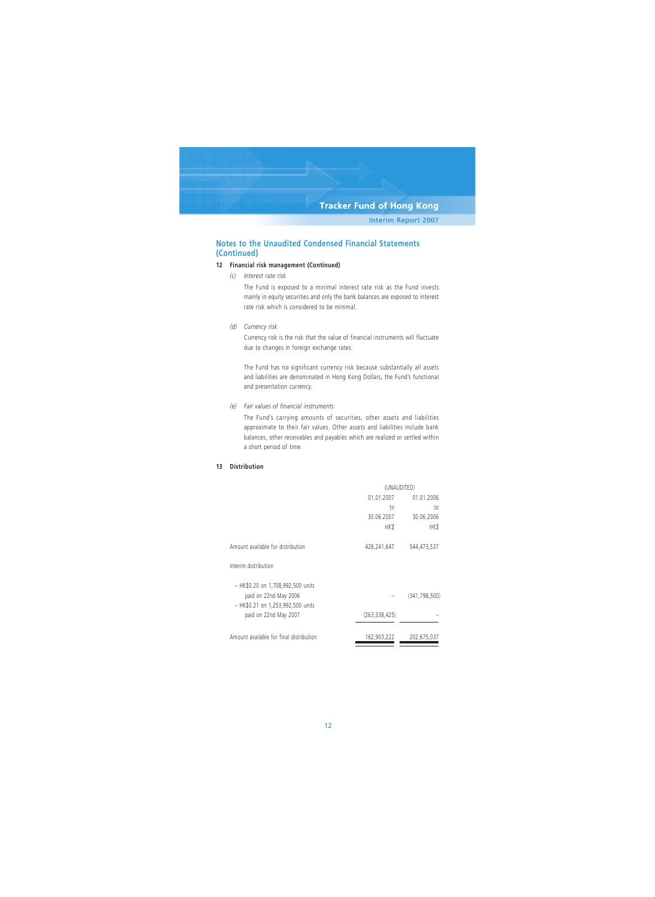## **Notes to the Unaudited Condensed Financial Statements (Continued)**

#### **12 Financial risk management (Continued)**

*(c) Interest rate risk*

The Fund is exposed to a minimal interest rate risk as the Fund invests mainly in equity securities and only the bank balances are exposed to interest rate risk which is considered to be minimal.

*(d) Currency risk*

Currency risk is the risk that the value of financial instruments will fluctuate due to changes in foreign exchange rates.

The Fund has no significant currency risk because substantially all assets and liabilities are denominated in Hong Kong Dollars, the Fund's functional and presentation currency.

#### *(e) Fair values of financial instruments*

The Fund's carrying amounts of securities, other assets and liabilities approximate to their fair values. Other assets and liabilities include bank balances, other receivables and payables which are realized or settled within a short period of time.

### **13 Distribution**

|                                         | (UNAUDITED)              |               |  |
|-----------------------------------------|--------------------------|---------------|--|
|                                         | 01.01.2007<br>01.01.2006 |               |  |
|                                         | to                       | to            |  |
|                                         | 30.06.2007               | 30.06.2006    |  |
|                                         | HK\$                     | HK\$          |  |
| Amount available for distribution       | 426,241,647              | 544,473,537   |  |
| Interim distribution                    |                          |               |  |
| - HK\$0.20 on 1,708,992,500 units       |                          |               |  |
| paid on 22nd May 2006                   |                          | (341.798.500) |  |
| - HK\$0.21 on 1,253,992,500 units       |                          |               |  |
| paid on 22nd May 2007                   | (263, 338, 425)          |               |  |
| Amount available for final distribution | 162,903,222              | 202,675,037   |  |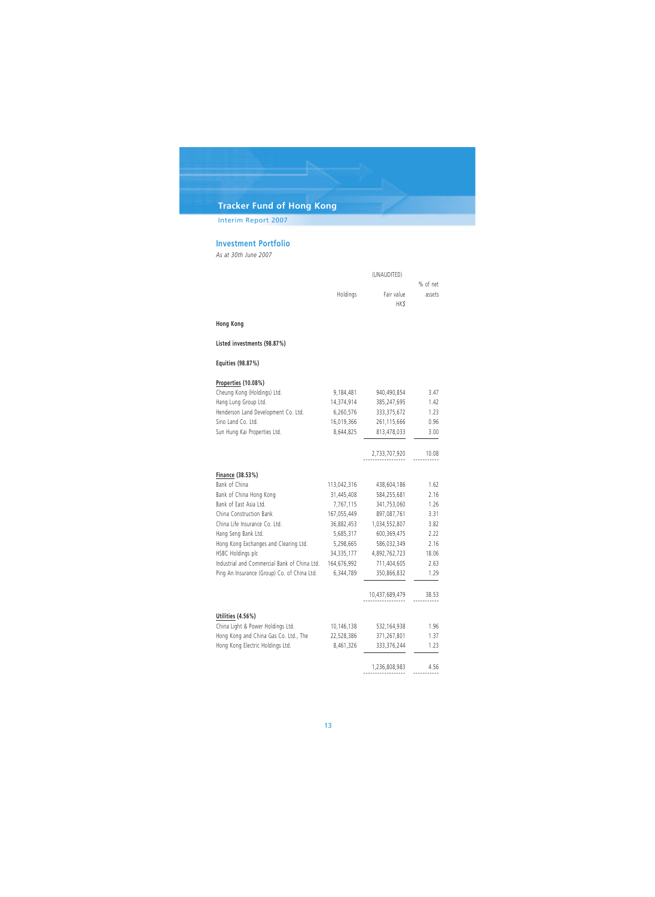Interim Report 2007

## **Investment Portfolio**

*As at 30th June 2007*

|                                              |              | (UNAUDITED)        | % of net |  |
|----------------------------------------------|--------------|--------------------|----------|--|
|                                              | Holdings     | Fair value<br>HK\$ | assets   |  |
| <b>Hong Kong</b>                             |              |                    |          |  |
| Listed investments (98.87%)                  |              |                    |          |  |
| Equities (98.87%)                            |              |                    |          |  |
| Properties (10.08%)                          |              |                    |          |  |
| Cheung Kong (Holdings) Ltd.                  | 9,184,481    | 940,490,854        | 3.47     |  |
| Hang Lung Group Ltd.                         | 14,374,914   | 385,247,695        | 1.42     |  |
| Henderson Land Development Co. Ltd.          | 6,260,576    | 333, 375, 672      | 1.23     |  |
| Sino Land Co. Ltd.                           | 16,019,366   | 261,115,666        | 0.96     |  |
| Sun Hung Kai Properties Ltd.                 | 8,644,825    | 813,478,033        | 3.00     |  |
|                                              |              | 2,733,707,920      | 10.08    |  |
| Finance (38.53%)                             |              |                    |          |  |
| Bank of China                                | 113,042,316  | 438,604,186        | 1.62     |  |
| Bank of China Hong Kong                      | 31,445,408   | 584,255,681        | 2.16     |  |
| Bank of East Asia Ltd.                       | 7,767,115    | 341,753,060        | 1.26     |  |
| China Construction Bank                      | 167,055,449  | 897,087,761        | 3.31     |  |
| China Life Insurance Co. Ltd.                | 36,882,453   | 1,034,552,807      | 3.82     |  |
| Hang Seng Bank Ltd.                          | 5,685,317    | 600,369,475        | 2.22     |  |
| Hong Kong Exchanges and Clearing Ltd.        | 5,298,665    | 586,032,349        | 2.16     |  |
| HSBC Holdings plc                            | 34, 335, 177 | 4,892,762,723      | 18.06    |  |
| Industrial and Commercial Bank of China Ltd. | 164,676,992  | 711,404,605        | 2.63     |  |
| Ping An Insurance (Group) Co. of China Ltd.  | 6,344,789    | 350,866,832        | 1.29     |  |
|                                              |              | 10,437,689,479     | 38.53    |  |
| Utilities (4.56%)                            |              |                    |          |  |
| China Light & Power Holdings Ltd.            | 10,146,138   | 532,164,938        | 1.96     |  |
| Hong Kong and China Gas Co. Ltd., The        | 22,528,386   | 371,267,801        | 1.37     |  |
| Hong Kong Electric Holdings Ltd.             | 8,461,326    | 333,376,244        | 1.23     |  |
|                                              |              | 1,236,808,983      | 4.56     |  |
|                                              |              |                    |          |  |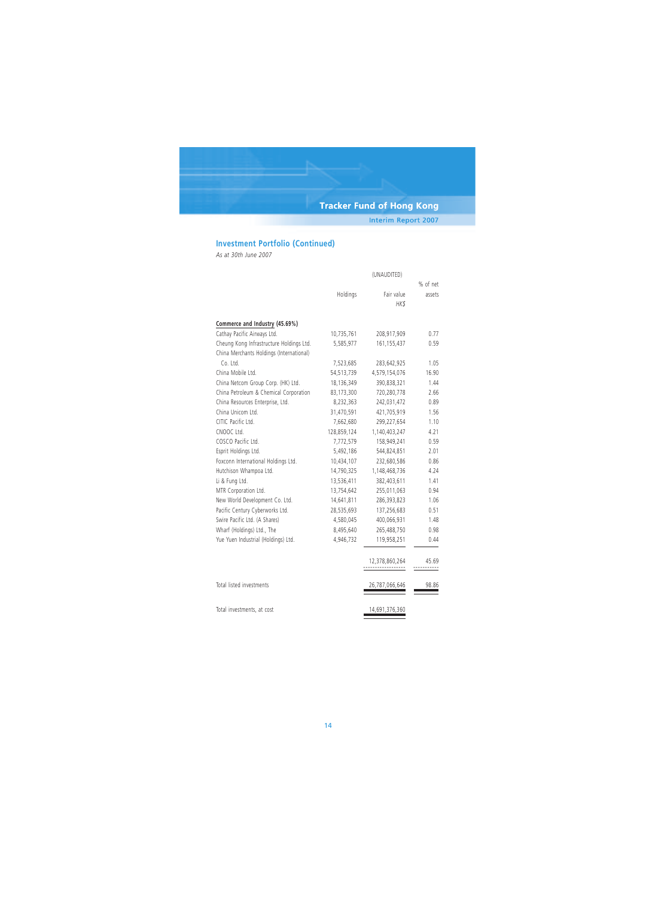Interim Report 2007

## **Investment Portfolio (Continued)**

*As at 30th June 2007*

|                                          | (UNAUDITED) |                |          |  |
|------------------------------------------|-------------|----------------|----------|--|
|                                          |             |                | % of net |  |
|                                          | Holdings    | Fair value     | assets   |  |
|                                          |             | HK\$           |          |  |
| Commerce and Industry (45.69%)           |             |                |          |  |
| Cathay Pacific Airways Ltd.              | 10,735,761  | 208,917,909    | 0.77     |  |
| Cheung Kong Infrastructure Holdings Ltd. | 5,585,977   | 161, 155, 437  | 0.59     |  |
| China Merchants Holdings (International) |             |                |          |  |
| Co. Ltd.                                 | 7,523,685   | 283,642,925    | 1.05     |  |
| China Mobile Ltd.                        | 54,513,739  | 4,579,154,076  | 16.90    |  |
| China Netcom Group Corp. (HK) Ltd.       | 18,136,349  | 390,838,321    | 1.44     |  |
| China Petroleum & Chemical Corporation   | 83,173,300  | 720,280,778    | 2.66     |  |
| China Resources Enterprise, Ltd.         | 8,232,363   | 242,031,472    | 0.89     |  |
| China Unicom Ltd.                        | 31,470,591  | 421,705,919    | 1.56     |  |
| CITIC Pacific Ltd.                       | 7,662,680   | 299,227,654    | 1.10     |  |
| CNOOC Ltd.                               | 128,859,124 | 1,140,403,247  | 4.21     |  |
| COSCO Pacific Ltd.                       | 7,772,579   | 158,949,241    | 0.59     |  |
| Esprit Holdings Ltd.                     | 5,492,186   | 544,824,851    | 2.01     |  |
| Foxconn International Holdings Ltd.      | 10,434,107  | 232,680,586    | 0.86     |  |
| Hutchison Whampoa Ltd.                   | 14,790,325  | 1,148,468,736  | 4.24     |  |
| Li & Fung Ltd.                           | 13,536,411  | 382,403,611    | 1.41     |  |
| MTR Corporation Ltd.                     | 13,754,642  | 255,011,063    | 0.94     |  |
| New World Development Co. Ltd.           | 14,641,811  | 286,393,823    | 1.06     |  |
| Pacific Century Cyberworks Ltd.          | 28,535,693  | 137,256,683    |          |  |
| Swire Pacific Ltd. (A Shares)            | 4,580,045   | 400,066,931    | 1.48     |  |
| Wharf (Holdings) Ltd., The               | 8,495,640   | 265,488,750    | 0.98     |  |
| Yue Yuen Industrial (Holdings) Ltd.      | 4,946,732   | 119,958,251    | 0.44     |  |
|                                          |             | 12,378,860,264 | 45.69    |  |
|                                          |             |                |          |  |
| Total listed investments                 |             | 26,787,066,646 | 98.86    |  |
| Total investments, at cost               |             | 14,691,376,360 |          |  |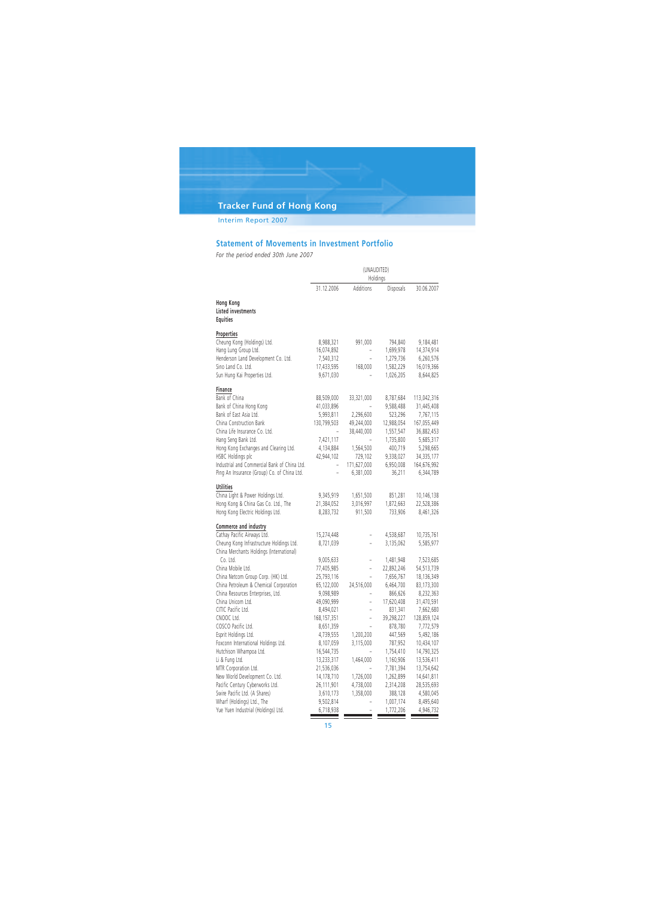## Interim Report 2007

## **Statement of Movements in Investment Portfolio**

*For the period ended 30th June 2007*

|                                                                                      | (UNAUDITED)<br>Holdings |                          |            |             |
|--------------------------------------------------------------------------------------|-------------------------|--------------------------|------------|-------------|
|                                                                                      | 31.12.2006              | Additions                | Disposals  | 30.06.2007  |
| Hong Kong<br><b>Listed investments</b><br><b>Equities</b>                            |                         |                          |            |             |
| Properties                                                                           |                         |                          |            |             |
| Cheung Kong (Holdings) Ltd.                                                          | 8,988,321               | 991,000                  | 794,840    | 9,184,481   |
| Hang Lung Group Ltd.                                                                 | 16,074,892              |                          | 1,699,978  | 14,374,914  |
| Henderson Land Development Co. Ltd.                                                  | 7,540,312               |                          | 1,279,736  | 6,260,576   |
| Sino Land Co. Ltd.                                                                   | 17,433,595              | 168,000                  | 1,582,229  | 16,019,366  |
| Sun Hung Kai Properties Ltd.                                                         | 9,671,030               |                          | 1,026,205  | 8,644,825   |
| Finance                                                                              |                         |                          |            |             |
| Bank of China                                                                        | 88,509,000              | 33,321,000               | 8,787,684  | 113,042,316 |
| Bank of China Hong Kong                                                              | 41,033,896              |                          | 9,588,488  | 31,445,408  |
| Bank of East Asia Ltd.                                                               | 5,993,811               | 2,296,600                | 523,296    | 7,767,115   |
| China Construction Bank                                                              | 130,799,503             | 49,244,000               | 12,988,054 | 167,055,449 |
| China Life Insurance Co. Ltd.                                                        |                         | 38,440,000               | 1,557,547  | 36,882,453  |
| Hang Seng Bank Ltd.                                                                  | 7,421,117               |                          | 1,735,800  | 5,685,317   |
| Hong Kong Exchanges and Clearing Ltd.                                                | 4,134,884               | 1,564,500                | 400,719    | 5,298,665   |
| HSBC Holdings plc                                                                    | 42,944,102              | 729,102                  | 9,338,027  | 34,335,177  |
| Industrial and Commercial Bank of China Ltd.                                         |                         | 171,627,000              | 6,950,008  | 164,676,992 |
| Ping An Insurance (Group) Co. of China Ltd.                                          |                         | 6,381,000                | 36,211     | 6,344,789   |
| <b>Utilities</b>                                                                     |                         |                          |            |             |
| China Light & Power Holdings Ltd.                                                    | 9,345,919               | 1,651,500                | 851,281    | 10,146,138  |
| Hong Kong & China Gas Co. Ltd., The                                                  | 21,384,052              | 3,016,997                | 1,872,663  | 22,528,386  |
| Hong Kong Electric Holdings Ltd.                                                     | 8,283,732               | 911,500                  | 733,906    | 8,461,326   |
| Commerce and industry                                                                |                         |                          |            |             |
| Cathay Pacific Airways Ltd.                                                          | 15,274,448              | $\overline{\phantom{0}}$ | 4,538,687  | 10,735,761  |
| Cheung Kong Infrastructure Holdings Ltd.<br>China Merchants Holdings (International) | 8,721,039               |                          | 3,135,062  | 5,585,977   |
| Co. Ltd.                                                                             | 9,005,633               | L.                       | 1,481,948  | 7,523,685   |
| China Mobile Ltd.                                                                    | 77,405,985              | ÷                        | 22,892,246 | 54,513,739  |
| China Netcom Group Corp. (HK) Ltd.                                                   | 25,793,116              |                          | 7,656,767  | 18,136,349  |
| China Petroleum & Chemical Corporation                                               | 65,122,000              | 24,516,000               | 6,464,700  | 83,173,300  |
| China Resources Enterprises, Ltd.                                                    | 9,098,989               |                          | 866,626    | 8,232,363   |
| China Unicom Ltd.                                                                    | 49,090,999              |                          | 17,620,408 | 31,470,591  |
| CITIC Pacific Ltd.                                                                   | 8,494,021               | L,                       | 831,341    | 7,662,680   |
| CNOOC Ltd.                                                                           | 168, 157, 351           |                          | 39,298,227 | 128,859,124 |
| COSCO Pacific Ltd.                                                                   | 8,651,359               |                          | 878,780    | 7,772,579   |
| Esprit Holdings Ltd.                                                                 | 4,739,555               | 1,200,200                | 447,569    | 5,492,186   |
| Foxconn International Holdings Ltd.                                                  | 8,107,059               | 3,115,000                | 787,952    | 10,434,107  |
| Hutchison Whampoa Ltd.                                                               | 16,544,735              |                          | 1,754,410  | 14,790,325  |
| Li & Fung Ltd.                                                                       | 13,233,317              | 1,464,000                | 1,160,906  | 13,536,411  |
| MTR Corporation Ltd.                                                                 | 21,536,036              |                          | 7,781,394  | 13,754,642  |
| New World Development Co. Ltd.                                                       | 14,178,710              | 1,726,000                | 1,262,899  | 14,641,811  |
| Pacific Century Cyberworks Ltd.                                                      | 26,111,901              | 4,738,000                | 2,314,208  | 28,535,693  |
| Swire Pacific Ltd. (A Shares)                                                        | 3,610,173               | 1,358,000                | 388,128    | 4,580,045   |
| Wharf (Holdings) Ltd., The                                                           | 9,502,814               |                          | 1,007,174  | 8,495,640   |
| Yue Yuen Industrial (Holdings) Ltd.                                                  | 6,718,938               |                          | 1,772,206  | 4,946,732   |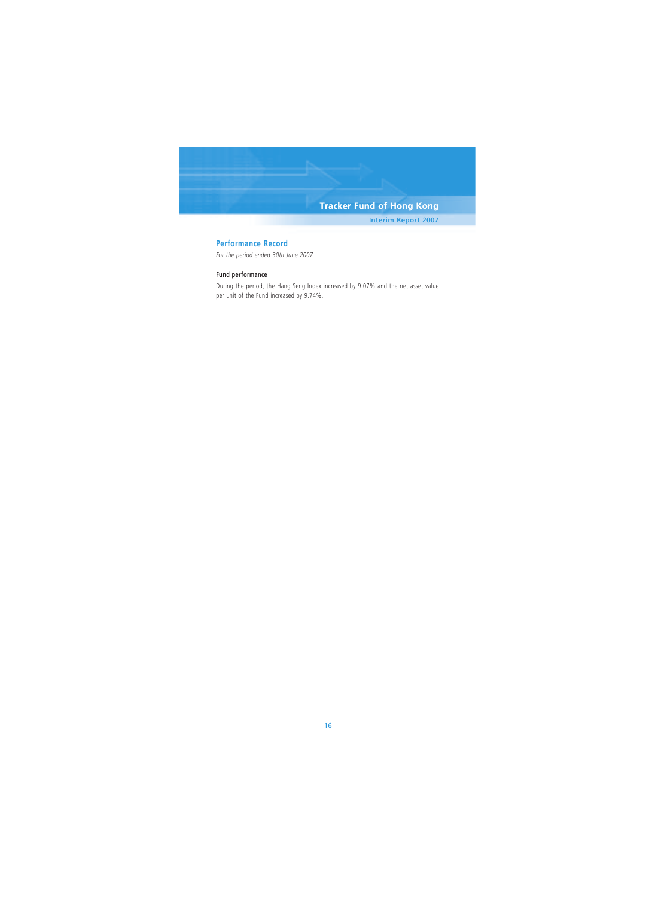Interim Report 2007

### **Performance Record**

*For the period ended 30th June 2007*

### **Fund performance**

During the period, the Hang Seng Index increased by 9.07% and the net asset value per unit of the Fund increased by 9.74%.